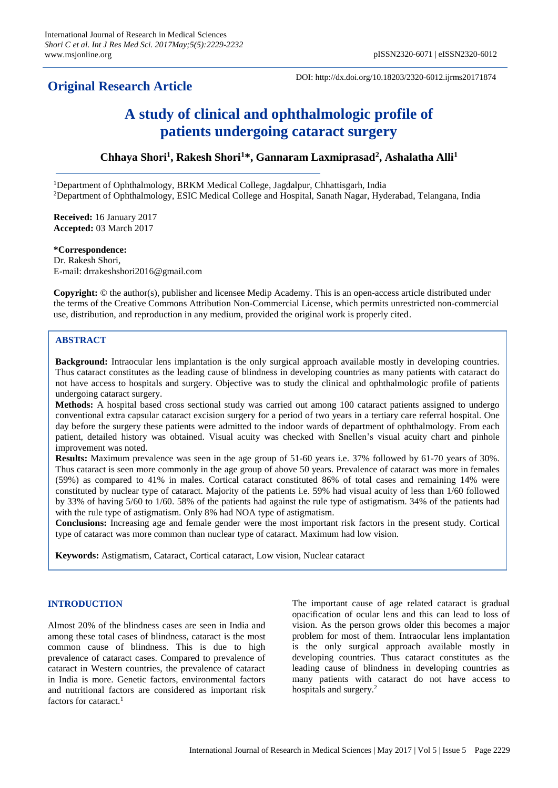## **Original Research Article**

DOI: http://dx.doi.org/10.18203/2320-6012.ijrms20171874

# **A study of clinical and ophthalmologic profile of patients undergoing cataract surgery**

**Chhaya Shori<sup>1</sup> , Rakesh Shori<sup>1</sup>\*, Gannaram Laxmiprasad<sup>2</sup> , Ashalatha Alli<sup>1</sup>**

<sup>1</sup>Department of Ophthalmology, BRKM Medical College, Jagdalpur, Chhattisgarh, India <sup>2</sup>Department of Ophthalmology, ESIC Medical College and Hospital, Sanath Nagar, Hyderabad, Telangana, India

**Received:** 16 January 2017 **Accepted:** 03 March 2017

**\*Correspondence:** Dr. Rakesh Shori, E-mail: drrakeshshori2016@gmail.com

**Copyright:** © the author(s), publisher and licensee Medip Academy. This is an open-access article distributed under the terms of the Creative Commons Attribution Non-Commercial License, which permits unrestricted non-commercial use, distribution, and reproduction in any medium, provided the original work is properly cited.

## **ABSTRACT**

**Background:** Intraocular lens implantation is the only surgical approach available mostly in developing countries. Thus cataract constitutes as the leading cause of blindness in developing countries as many patients with cataract do not have access to hospitals and surgery. Objective was to study the clinical and ophthalmologic profile of patients undergoing cataract surgery.

**Methods:** A hospital based cross sectional study was carried out among 100 cataract patients assigned to undergo conventional extra capsular cataract excision surgery for a period of two years in a tertiary care referral hospital. One day before the surgery these patients were admitted to the indoor wards of department of ophthalmology. From each patient, detailed history was obtained. Visual acuity was checked with Snellen's visual acuity chart and pinhole improvement was noted.

**Results:** Maximum prevalence was seen in the age group of 51-60 years i.e. 37% followed by 61-70 years of 30%. Thus cataract is seen more commonly in the age group of above 50 years. Prevalence of cataract was more in females (59%) as compared to 41% in males. Cortical cataract constituted 86% of total cases and remaining 14% were constituted by nuclear type of cataract. Majority of the patients i.e. 59% had visual acuity of less than 1/60 followed by 33% of having 5/60 to 1/60. 58% of the patients had against the rule type of astigmatism. 34% of the patients had with the rule type of astigmatism. Only 8% had NOA type of astigmatism.

**Conclusions:** Increasing age and female gender were the most important risk factors in the present study. Cortical type of cataract was more common than nuclear type of cataract. Maximum had low vision.

**Keywords:** Astigmatism, Cataract, Cortical cataract, Low vision, Nuclear cataract

## **INTRODUCTION**

Almost 20% of the blindness cases are seen in India and among these total cases of blindness, cataract is the most common cause of blindness. This is due to high prevalence of cataract cases. Compared to prevalence of cataract in Western countries, the prevalence of cataract in India is more. Genetic factors, environmental factors and nutritional factors are considered as important risk factors for cataract.<sup>1</sup>

The important cause of age related cataract is gradual opacification of ocular lens and this can lead to loss of vision. As the person grows older this becomes a major problem for most of them. Intraocular lens implantation is the only surgical approach available mostly in developing countries. Thus cataract constitutes as the leading cause of blindness in developing countries as many patients with cataract do not have access to hospitals and surgery.<sup>2</sup>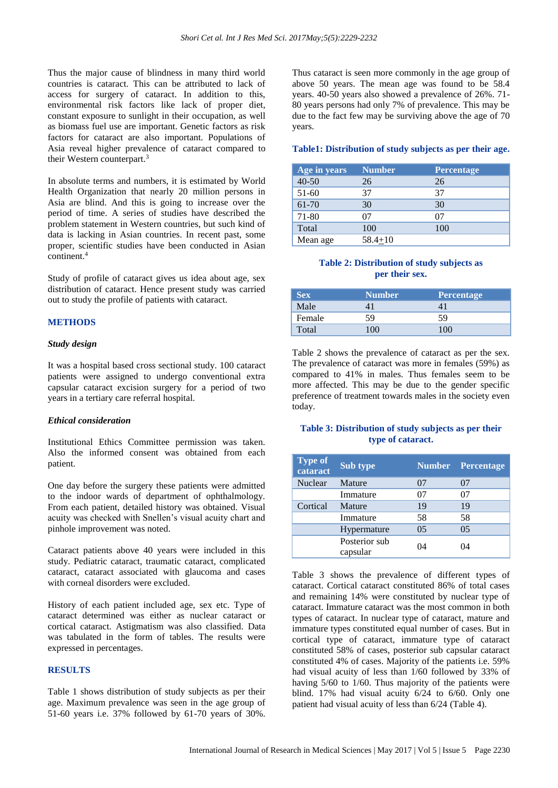Thus the major cause of blindness in many third world countries is cataract. This can be attributed to lack of access for surgery of cataract. In addition to this, environmental risk factors like lack of proper diet, constant exposure to sunlight in their occupation, as well as biomass fuel use are important. Genetic factors as risk factors for cataract are also important. Populations of Asia reveal higher prevalence of cataract compared to their Western counterpart.<sup>3</sup>

In absolute terms and numbers, it is estimated by World Health Organization that nearly 20 million persons in Asia are blind. And this is going to increase over the period of time. A series of studies have described the problem statement in Western countries, but such kind of data is lacking in Asian countries. In recent past, some proper, scientific studies have been conducted in Asian continent.<sup>4</sup>

Study of profile of cataract gives us idea about age, sex distribution of cataract. Hence present study was carried out to study the profile of patients with cataract.

## **METHODS**

#### *Study design*

It was a hospital based cross sectional study. 100 cataract patients were assigned to undergo conventional extra capsular cataract excision surgery for a period of two years in a tertiary care referral hospital.

#### *Ethical consideration*

Institutional Ethics Committee permission was taken. Also the informed consent was obtained from each patient.

One day before the surgery these patients were admitted to the indoor wards of department of ophthalmology. From each patient, detailed history was obtained. Visual acuity was checked with Snellen's visual acuity chart and pinhole improvement was noted.

Cataract patients above 40 years were included in this study. Pediatric cataract, traumatic cataract, complicated cataract, cataract associated with glaucoma and cases with corneal disorders were excluded.

History of each patient included age, sex etc. Type of cataract determined was either as nuclear cataract or cortical cataract. Astigmatism was also classified. Data was tabulated in the form of tables. The results were expressed in percentages.

## **RESULTS**

Table 1 shows distribution of study subjects as per their age. Maximum prevalence was seen in the age group of 51-60 years i.e. 37% followed by 61-70 years of 30%.

Thus cataract is seen more commonly in the age group of above 50 years. The mean age was found to be 58.4 years. 40-50 years also showed a prevalence of 26%. 71- 80 years persons had only 7% of prevalence. This may be due to the fact few may be surviving above the age of 70 years.

#### **Table1: Distribution of study subjects as per their age.**

| Age in years | <b>Number</b> | <b>Percentage</b> |
|--------------|---------------|-------------------|
| $40 - 50$    | 26            | 26                |
| 51-60        | 37            | 37                |
| 61-70        | 30            | 30                |
| 71-80        | 07            | 07                |
| Total        | 100           | 100               |
| Mean age     | $58.4 + 10$   |                   |

#### **Table 2: Distribution of study subjects as per their sex.**

| <b>Sex</b> | <b>Number</b> | <b>Percentage</b> |
|------------|---------------|-------------------|
| Male       |               |                   |
| Female     | 59            | 59                |
| Total      | 100           |                   |

Table 2 shows the prevalence of cataract as per the sex. The prevalence of cataract was more in females (59%) as compared to 41% in males. Thus females seem to be more affected. This may be due to the gender specific preference of treatment towards males in the society even today.

## **Table 3: Distribution of study subjects as per their type of cataract.**

| <b>Type of</b><br>cataract | <b>Sub type</b>           | <b>Number</b> | <b>Percentage</b> |
|----------------------------|---------------------------|---------------|-------------------|
| Nuclear                    | Mature                    | 07            | 07                |
|                            | Immature                  | 07            | 07                |
| Cortical                   | Mature                    | 19            | 19                |
|                            | Immature                  | 58            | 58                |
|                            | Hypermature               | 0.5           | 05                |
|                            | Posterior sub<br>capsular | 04            | 04                |

Table 3 shows the prevalence of different types of cataract. Cortical cataract constituted 86% of total cases and remaining 14% were constituted by nuclear type of cataract. Immature cataract was the most common in both types of cataract. In nuclear type of cataract, mature and immature types constituted equal number of cases. But in cortical type of cataract, immature type of cataract constituted 58% of cases, posterior sub capsular cataract constituted 4% of cases. Majority of the patients i.e. 59% had visual acuity of less than 1/60 followed by 33% of having 5/60 to 1/60. Thus majority of the patients were blind. 17% had visual acuity 6/24 to 6/60. Only one patient had visual acuity of less than 6/24 (Table 4).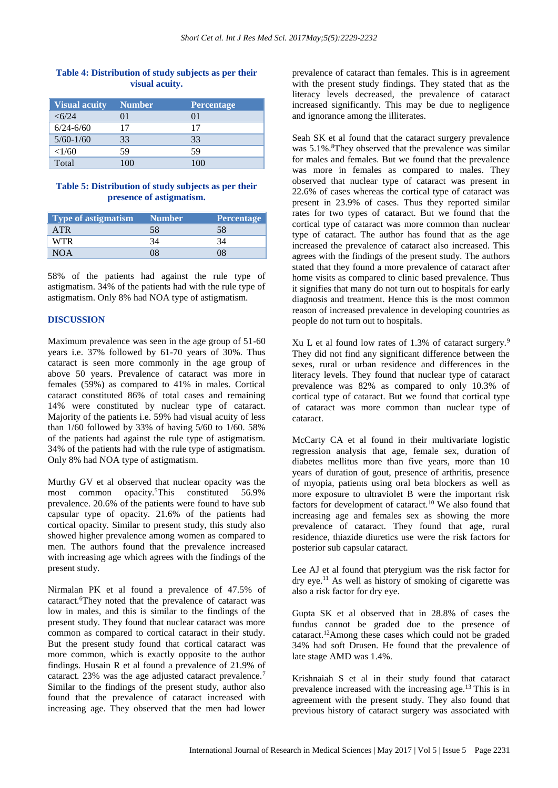## **Table 4: Distribution of study subjects as per their visual acuity.**

| <b>Visual acuity</b> | <b>Number</b> | <b>Percentage</b>        |
|----------------------|---------------|--------------------------|
| $<\frac{6}{24}$      | ОI            | $_{01}$                  |
| $6/24 - 6/60$        | 17            | 17                       |
| $5/60 - 1/60$        | 33            | 33                       |
| <1/60                | 59            | 59                       |
| Total                |               | $\mathbf{1}(\mathbf{M})$ |

### **Table 5: Distribution of study subjects as per their presence of astigmatism.**

| <b>Type of astigmatism</b> | <b>Number</b> | <b>Percentage</b> |
|----------------------------|---------------|-------------------|
| <b>ATR</b>                 | 58            | 58                |
| <b>WTR</b>                 |               |                   |
|                            |               |                   |

58% of the patients had against the rule type of astigmatism. 34% of the patients had with the rule type of astigmatism. Only 8% had NOA type of astigmatism.

## **DISCUSSION**

Maximum prevalence was seen in the age group of 51-60 years i.e. 37% followed by 61-70 years of 30%. Thus cataract is seen more commonly in the age group of above 50 years. Prevalence of cataract was more in females (59%) as compared to 41% in males. Cortical cataract constituted 86% of total cases and remaining 14% were constituted by nuclear type of cataract. Majority of the patients i.e. 59% had visual acuity of less than 1/60 followed by 33% of having 5/60 to 1/60. 58% of the patients had against the rule type of astigmatism. 34% of the patients had with the rule type of astigmatism. Only 8% had NOA type of astigmatism.

Murthy GV et al observed that nuclear opacity was the most common opacity.<sup>5</sup>This constituted 56.9% prevalence. 20.6% of the patients were found to have sub capsular type of opacity. 21.6% of the patients had cortical opacity. Similar to present study, this study also showed higher prevalence among women as compared to men. The authors found that the prevalence increased with increasing age which agrees with the findings of the present study.

Nirmalan PK et al found a prevalence of 47.5% of cataract.<sup>6</sup>They noted that the prevalence of cataract was low in males, and this is similar to the findings of the present study. They found that nuclear cataract was more common as compared to cortical cataract in their study. But the present study found that cortical cataract was more common, which is exactly opposite to the author findings. Husain R et al found a prevalence of 21.9% of cataract. 23% was the age adjusted cataract prevalence.<sup>7</sup> Similar to the findings of the present study, author also found that the prevalence of cataract increased with increasing age. They observed that the men had lower prevalence of cataract than females. This is in agreement with the present study findings. They stated that as the literacy levels decreased, the prevalence of cataract increased significantly. This may be due to negligence and ignorance among the illiterates.

Seah SK et al found that the cataract surgery prevalence was 5.1%.<sup>8</sup>They observed that the prevalence was similar for males and females. But we found that the prevalence was more in females as compared to males. They observed that nuclear type of cataract was present in 22.6% of cases whereas the cortical type of cataract was present in 23.9% of cases. Thus they reported similar rates for two types of cataract. But we found that the cortical type of cataract was more common than nuclear type of cataract. The author has found that as the age increased the prevalence of cataract also increased. This agrees with the findings of the present study. The authors stated that they found a more prevalence of cataract after home visits as compared to clinic based prevalence. Thus it signifies that many do not turn out to hospitals for early diagnosis and treatment. Hence this is the most common reason of increased prevalence in developing countries as people do not turn out to hospitals.

Xu L et al found low rates of 1.3% of cataract surgery.<sup>9</sup> They did not find any significant difference between the sexes, rural or urban residence and differences in the literacy levels. They found that nuclear type of cataract prevalence was 82% as compared to only 10.3% of cortical type of cataract. But we found that cortical type of cataract was more common than nuclear type of cataract.

McCarty CA et al found in their multivariate logistic regression analysis that age, female sex, duration of diabetes mellitus more than five years, more than 10 years of duration of gout, presence of arthritis, presence of myopia, patients using oral beta blockers as well as more exposure to ultraviolet B were the important risk factors for development of cataract.<sup>10</sup> We also found that increasing age and females sex as showing the more prevalence of cataract. They found that age, rural residence, thiazide diuretics use were the risk factors for posterior sub capsular cataract.

Lee AJ et al found that pterygium was the risk factor for dry eye.<sup>11</sup> As well as history of smoking of cigarette was also a risk factor for dry eye.

Gupta SK et al observed that in 28.8% of cases the fundus cannot be graded due to the presence of cataract.<sup>12</sup>Among these cases which could not be graded 34% had soft Drusen. He found that the prevalence of late stage AMD was 1.4%.

Krishnaiah S et al in their study found that cataract prevalence increased with the increasing age.<sup>13</sup> This is in agreement with the present study. They also found that previous history of cataract surgery was associated with